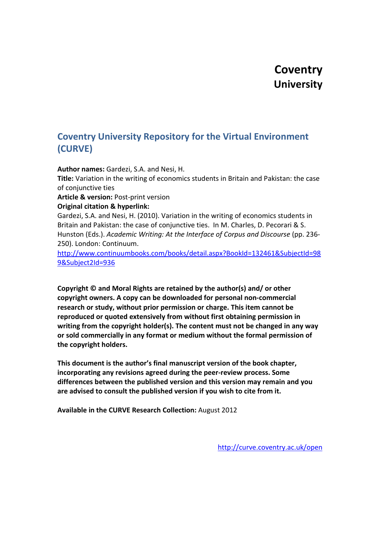# **Coventry University**

# **Coventry University Repository for the Virtual Environment (CURVE)**

**Author names:** Gardezi, S.A. and Nesi, H.

**Title:** Variation in the writing of economics students in Britain and Pakistan: the case of conjunctive ties

**Article & version:** Post-print version

**Original citation & hyperlink:**

Gardezi, S.A. and Nesi, H. (2010). Variation in the writing of economics students in Britain and Pakistan: the case of conjunctive ties. In M. Charles, D. Pecorari & S. Hunston (Eds.). *Academic Writing: At the Interface of Corpus and Discourse* (pp. 236- 250). London: Continuum.

[http://www.continuumbooks.com/books/detail.aspx?BookId=132461&SubjectId=98](http://www.continuumbooks.com/books/detail.aspx?BookId=132461&SubjectId=989&Subject2Id=936) [9&Subject2Id=936](http://www.continuumbooks.com/books/detail.aspx?BookId=132461&SubjectId=989&Subject2Id=936)

**Copyright © and Moral Rights are retained by the author(s) and/ or other copyright owners. A copy can be downloaded for personal non-commercial research or study, without prior permission or charge. This item cannot be reproduced or quoted extensively from without first obtaining permission in writing from the copyright holder(s). The content must not be changed in any way or sold commercially in any format or medium without the formal permission of the copyright holders.**

**This document is the author's final manuscript version of the book chapter, incorporating any revisions agreed during the peer-review process. Some differences between the published version and this version may remain and you are advised to consult the published version if you wish to cite from it.**

**Available in the CURVE Research Collection:** August 2012

<http://curve.coventry.ac.uk/open>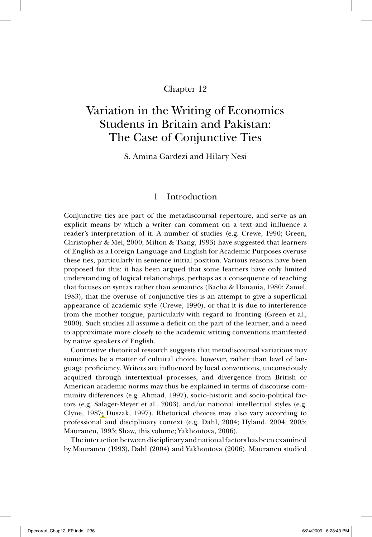# Chapter 12

# Variation in the Writing of Economics Students in Britain and Pakistan: The Case of Conjunctive Ties

S. Amina Gardezi and Hilary Nesi

# 1 Introduction

Conjunctive ties are part of the metadiscoursal repertoire, and serve as an explicit means by which a writer can comment on a text and influence a reader's interpretation of it. A number of studies (e.g. Crewe, 1990; Green, Christopher & Mei, 2000; Milton & Tsang, 1993) have suggested that learners of English as a Foreign Language and English for Academic Purposes overuse these ties, particularly in sentence initial position. Various reasons have been proposed for this: it has been argued that some learners have only limited understanding of logical relationships, perhaps as a consequence of teaching that focuses on syntax rather than semantics (Bacha & Hanania, 1980: Zamel, 1983), that the overuse of conjunctive ties is an attempt to give a superficial appearance of academic style (Crewe, 1990), or that it is due to interference from the mother tongue, particularly with regard to fronting (Green et al., 2000). Such studies all assume a deficit on the part of the learner, and a need to approximate more closely to the academic writing conventions manifested by native speakers of English.

Contrastive rhetorical research suggests that metadiscoursal variations may sometimes be a matter of cultural choice, however, rather than level of language proficiency. Writers are influenced by local conventions, unconsciously acquired through intertextual processes, and divergence from British or American academic norms may thus be explained in terms of discourse community differences (e.g. Ahmad, 1997), socio-historic and socio-political factors (e.g. Salager-Meyer et al., 2003), and/or national intellectual styles (e.g. Clyne, 1987: Duszak, 1997). Rhetorical choices may also vary according to professional and disciplinary context (e.g. Dahl, 2004; Hyland, 2004, 2005; Mauranen, 1993; Shaw, this volume; Yakhontova, 2006).

The interaction between disciplinary and national factors has been examined by Mauranen (1993), Dahl (2004) and Yakhontova (2006). Mauranen studied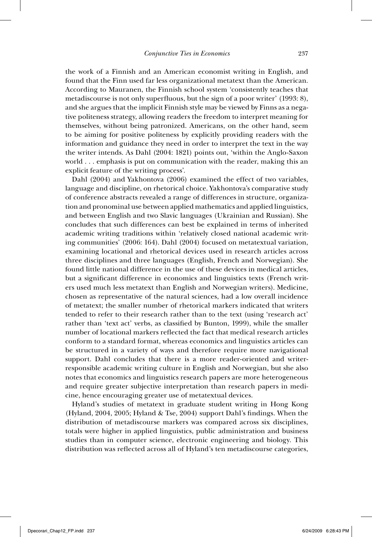the work of a Finnish and an American economist writing in English, and found that the Finn used far less organizational metatext than the American. According to Mauranen, the Finnish school system 'consistently teaches that metadiscourse is not only superfluous, but the sign of a poor writer' (1993: 8), and she argues that the implicit Finnish style may be viewed by Finns as a negative politeness strategy, allowing readers the freedom to interpret meaning for themselves, without being patronized. Americans, on the other hand, seem to be aiming for positive politeness by explicitly providing readers with the information and guidance they need in order to interpret the text in the way the writer intends. As Dahl (2004: 1821) points out, 'within the Anglo-Saxon world . . . emphasis is put on communication with the reader, making this an explicit feature of the writing process'.

Dahl (2004) and Yakhontova (2006) examined the effect of two variables, language and discipline, on rhetorical choice. Yakhontova's comparative study of conference abstracts revealed a range of differences in structure, organization and pronominal use between applied mathematics and applied linguistics, and between English and two Slavic languages (Ukrainian and Russian). She concludes that such differences can best be explained in terms of inherited academic writing traditions within 'relatively closed national academic writing communities' (2006: 164). Dahl (2004) focused on metatextual variation, examining locational and rhetorical devices used in research articles across three disciplines and three languages (English, French and Norwegian). She found little national difference in the use of these devices in medical articles, but a significant difference in economics and linguistics texts (French writers used much less metatext than English and Norwegian writers). Medicine, chosen as representative of the natural sciences, had a low overall incidence of metatext; the smaller number of rhetorical markers indicated that writers tended to refer to their research rather than to the text (using 'research act' rather than 'text act' verbs, as classified by Bunton, 1999), while the smaller number of locational markers reflected the fact that medical research articles conform to a standard format, whereas economics and linguistics articles can be structured in a variety of ways and therefore require more navigational support. Dahl concludes that there is a more reader-oriented and writerresponsible academic writing culture in English and Norwegian, but she also notes that economics and linguistics research papers are more heterogeneous and require greater subjective interpretation than research papers in medicine, hence encouraging greater use of metatextual devices.

Hyland's studies of metatext in graduate student writing in Hong Kong (Hyland, 2004, 2005; Hyland & Tse, 2004) support Dahl's findings. When the distribution of metadiscourse markers was compared across six disciplines, totals were higher in applied linguistics, public administration and business studies than in computer science, electronic engineering and biology. This distribution was reflected across all of Hyland's ten metadiscourse categories,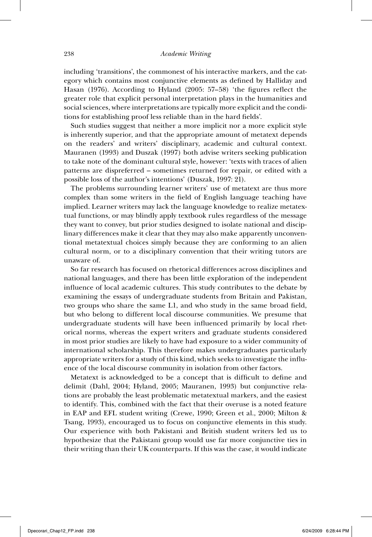including 'transitions', the commonest of his interactive markers, and the category which contains most conjunctive elements as defined by Halliday and Hasan (1976). According to Hyland (2005:  $57-58$ ) 'the figures reflect the greater role that explicit personal interpretation plays in the humanities and social sciences, where interpretations are typically more explicit and the conditions for establishing proof less reliable than in the hard fields'.

Such studies suggest that neither a more implicit nor a more explicit style is inherently superior, and that the appropriate amount of metatext depends on the readers' and writers' disciplinary, academic and cultural context. Mauranen (1993) and Duszak (1997) both advise writers seeking publication to take note of the dominant cultural style, however: 'texts with traces of alien patterns are dispreferred – sometimes returned for repair, or edited with a possible loss of the author's intentions' (Duszak, 1997: 21).

The problems surrounding learner writers' use of metatext are thus more complex than some writers in the field of English language teaching have implied. Learner writers may lack the language knowledge to realize metatextual functions, or may blindly apply textbook rules regardless of the message they want to convey, but prior studies designed to isolate national and disciplinary differences make it clear that they may also make apparently unconventional metatextual choices simply because they are conforming to an alien cultural norm, or to a disciplinary convention that their writing tutors are unaware of.

So far research has focused on rhetorical differences across disciplines and national languages, and there has been little exploration of the independent influence of local academic cultures. This study contributes to the debate by examining the essays of undergraduate students from Britain and Pakistan, two groups who share the same L1, and who study in the same broad field, but who belong to different local discourse communities. We presume that undergraduate students will have been influenced primarily by local rhetorical norms, whereas the expert writers and graduate students considered in most prior studies are likely to have had exposure to a wider community of international scholarship. This therefore makes undergraduates particularly appropriate writers for a study of this kind, which seeks to investigate the influence of the local discourse community in isolation from other factors.

Metatext is acknowledged to be a concept that is difficult to define and delimit (Dahl, 2004; Hyland, 2005; Mauranen, 1993) but conjunctive relations are probably the least problematic metatextual markers, and the easiest to identify. This, combined with the fact that their overuse is a noted feature in EAP and EFL student writing (Crewe, 1990; Green et al., 2000; Milton & Tsang, 1993), encouraged us to focus on conjunctive elements in this study. Our experience with both Pakistani and British student writers led us to hypothesize that the Pakistani group would use far more conjunctive ties in their writing than their UK counterparts. If this was the case, it would indicate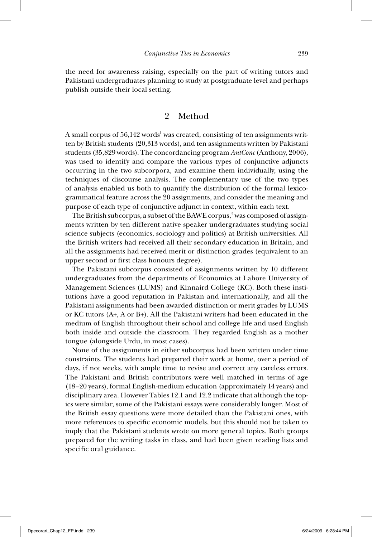the need for awareness raising, especially on the part of writing tutors and Pakistani undergraduates planning to study at postgraduate level and perhaps publish outside their local setting.

# 2 Method

A small corpus of  $56{,}142$  words $^{\text{l}}$  was created, consisting of ten assignments written by British students (20,313 words), and ten assignments written by Pakistani students (35,829 words). The concordancing program *AntConc* (Anthony, 2006), was used to identify and compare the various types of conjunctive adjuncts occurring in the two subcorpora, and examine them individually, using the techniques of discourse analysis. The complementary use of the two types of analysis enabled us both to quantify the distribution of the formal lexicogrammatical feature across the 20 assignments, and consider the meaning and purpose of each type of conjunctive adjunct in context, within each text.

The British subcorpus, a subset of the BAWE corpus,<sup>2</sup> was composed of assignments written by ten different native speaker undergraduates studying social science subjects (economics, sociology and politics) at British universities. All the British writers had received all their secondary education in Britain, and all the assignments had received merit or distinction grades (equivalent to an upper second or first class honours degree).

The Pakistani subcorpus consisted of assignments written by 10 different undergraduates from the departments of Economics at Lahore University of Management Sciences (LUMS) and Kinnaird College (KC). Both these institutions have a good reputation in Pakistan and internationally, and all the Pakistani assignments had been awarded distinction or merit grades by LUMS or KC tutors (A+, A or B+). All the Pakistani writers had been educated in the medium of English throughout their school and college life and used English both inside and outside the classroom. They regarded English as a mother tongue (alongside Urdu, in most cases).

None of the assignments in either subcorpus had been written under time constraints. The students had prepared their work at home, over a period of days, if not weeks, with ample time to revise and correct any careless errors. The Pakistani and British contributors were well matched in terms of age (18–20 years), formal English- medium education (approximately 14 years) and disciplinary area. However Tables 12.1 and 12.2 indicate that although the topics were similar, some of the Pakistani essays were considerably longer. Most of the British essay questions were more detailed than the Pakistani ones, with more references to specific economic models, but this should not be taken to imply that the Pakistani students wrote on more general topics. Both groups prepared for the writing tasks in class, and had been given reading lists and specific oral guidance.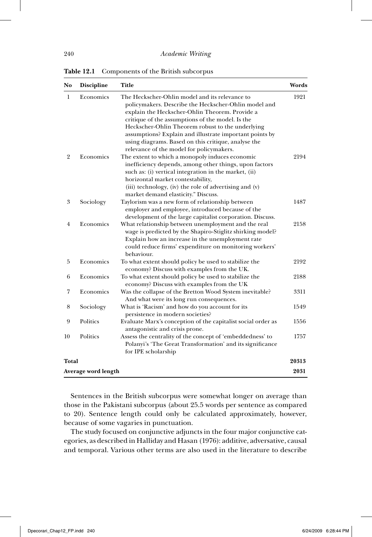**Table 12.1** Components of the British subcorpus

| No             | Discipline          | Title                                                                                                                                                                                                                                                                                                                                                                                                                          | Words |  |  |
|----------------|---------------------|--------------------------------------------------------------------------------------------------------------------------------------------------------------------------------------------------------------------------------------------------------------------------------------------------------------------------------------------------------------------------------------------------------------------------------|-------|--|--|
| 1              | Economics           | The Heckscher-Ohlin model and its relevance to<br>policymakers. Describe the Heckscher-Ohlin model and<br>explain the Heckscher-Ohlin Theorem. Provide a<br>critique of the assumptions of the model. Is the<br>Heckscher-Ohlin Theorem robust to the underlying<br>assumptions? Explain and illustrate important points by<br>using diagrams. Based on this critique, analyse the<br>relevance of the model for policymakers. | 1921  |  |  |
| $\overline{2}$ | Economics           | The extent to which a monopoly induces economic<br>inefficiency depends, among other things, upon factors<br>such as: (i) vertical integration in the market, (ii)<br>horizontal market contestability,<br>(iii) technology, (iv) the role of advertising and (v)<br>market demand elasticity." Discuss.                                                                                                                       | 2194  |  |  |
| 3              | Sociology           | Taylorism was a new form of relationship between<br>employer and employee, introduced because of the<br>development of the large capitalist corporation. Discuss.                                                                                                                                                                                                                                                              | 1487  |  |  |
| $\overline{4}$ | Economics           | What relationship between unemployment and the real<br>wage is predicted by the Shapiro-Stiglitz shirking model?<br>Explain how an increase in the unemployment rate<br>could reduce firms' expenditure on monitoring workers'<br>behaviour.                                                                                                                                                                                   | 2158  |  |  |
| 5              | Economics           | To what extent should policy be used to stabilize the<br>economy? Discuss with examples from the UK.                                                                                                                                                                                                                                                                                                                           | 2192  |  |  |
| 6              | Economics           | To what extent should policy be used to stabilize the<br>economy? Discuss with examples from the UK                                                                                                                                                                                                                                                                                                                            | 2188  |  |  |
| 7              | Economics           | Was the collapse of the Bretton Wood System inevitable?<br>And what were its long run consequences.                                                                                                                                                                                                                                                                                                                            | 3311  |  |  |
| 8              | Sociology           | What is 'Racism' and how do you account for its<br>persistence in modern societies?                                                                                                                                                                                                                                                                                                                                            | 1549  |  |  |
| 9              | Politics            | Evaluate Marx's conception of the capitalist social order as<br>antagonistic and crisis prone.                                                                                                                                                                                                                                                                                                                                 | 1556  |  |  |
| 10             | Politics            | Assess the centrality of the concept of 'embeddedness' to<br>Polanyi's 'The Great Transformation' and its significance<br>for IPE scholarship                                                                                                                                                                                                                                                                                  | 1757  |  |  |
|                | Total               |                                                                                                                                                                                                                                                                                                                                                                                                                                |       |  |  |
|                | Average word length |                                                                                                                                                                                                                                                                                                                                                                                                                                |       |  |  |

Sentences in the British subcorpus were somewhat longer on average than those in the Pakistani subcorpus (about 25.5 words per sentence as compared to 20). Sentence length could only be calculated approximately, however, because of some vagaries in punctuation.

The study focused on conjunctive adjuncts in the four major conjunctive categories, as described in Halliday and Hasan (1976): additive, adversative, causal and temporal. Various other terms are also used in the literature to describe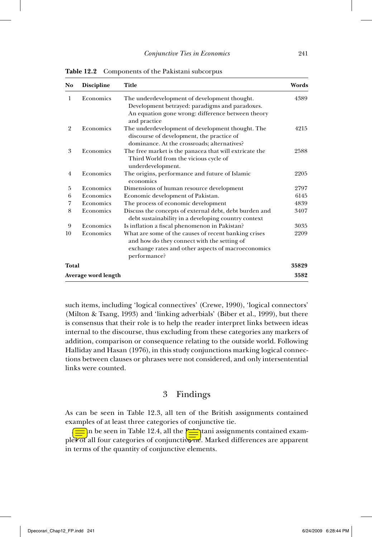| N <sub>0</sub> | Title<br><b>Discipline</b>                                                                                                                                |                                                                                                                                                                           | Words |  |  |
|----------------|-----------------------------------------------------------------------------------------------------------------------------------------------------------|---------------------------------------------------------------------------------------------------------------------------------------------------------------------------|-------|--|--|
| 1              | Economics                                                                                                                                                 | The underdevelopment of development thought.<br>Development betrayed: paradigms and paradoxes.<br>An equation gone wrong: difference between theory<br>and practice       |       |  |  |
| $\overline{2}$ | Economics<br>The underdevelopment of development thought. The<br>discourse of development, the practice of<br>dominance. At the crossroads; alternatives? |                                                                                                                                                                           | 4215  |  |  |
| 3              | Economics                                                                                                                                                 | The free market is the panacea that will extricate the<br>Third World from the vicious cycle of<br>underdevelopment.                                                      | 2588  |  |  |
| 4              | Economics                                                                                                                                                 | The origins, performance and future of Islamic<br>economics                                                                                                               | 2205  |  |  |
| 5              | Economics                                                                                                                                                 | Dimensions of human resource development                                                                                                                                  | 2797  |  |  |
| 6              | Economics                                                                                                                                                 | Economic development of Pakistan.                                                                                                                                         | 6145  |  |  |
| 7              | Economics                                                                                                                                                 | The process of economic development                                                                                                                                       | 4839  |  |  |
| 8              | Economics                                                                                                                                                 | Discuss the concepts of external debt, debt burden and<br>debt sustainability in a developing country context                                                             | 3407  |  |  |
| 9              | Economics                                                                                                                                                 | Is inflation a fiscal phenomenon in Pakistan?                                                                                                                             | 3035  |  |  |
| 10             | Economics                                                                                                                                                 | What are some of the causes of recent banking crises<br>and how do they connect with the setting of<br>exchange rates and other aspects of macroeconomics<br>performance? | 2209  |  |  |
|                | Total                                                                                                                                                     |                                                                                                                                                                           |       |  |  |
|                | Average word length                                                                                                                                       |                                                                                                                                                                           |       |  |  |

**Table 12.2** Components of the Pakistani subcorpus

such items, including 'logical connectives' (Crewe, 1990), 'logical connectors' (Milton & Tsang, 1993) and 'linking adverbials' (Biber et al., 1999), but there is consensus that their role is to help the reader interpret links between ideas internal to the discourse, thus excluding from these categories any markers of addition, comparison or consequence relating to the outside world. Following Halliday and Hasan (1976), in this study conjunctions marking logical connections between clauses or phrases were not considered, and only intersentential links were counted.

### 3 Findings

As can be seen in Table 12.3, all ten of the British assignments contained examples of at least three categories of conjunctive tie.

 $\sum$ n be seen in Table 12.4, all the  $\rho$ iani assignments contained examples of all four categories of conjunctivated. Marked differences are apparent in terms of the quantity of conjunctive elements.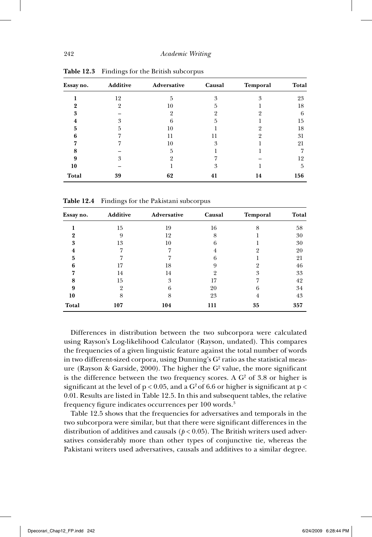| Essay no.    | <b>Additive</b> | Adversative | Causal | Temporal | <b>Total</b> |
|--------------|-----------------|-------------|--------|----------|--------------|
|              | 12              | 5           | 3      | 3        | 23           |
|              | 9               | 10          | h      |          | 18           |
| 3            |                 | 9           |        |          | 6            |
|              | ዳ               |             | 5      |          | 15           |
| 5            | h               | 10          |        |          | 18           |
|              |                 | 11          | 11     |          | 31           |
|              |                 | 10          | 3      |          | 21           |
|              |                 | 5           |        |          |              |
| 9            | 3               |             |        |          | 12           |
| 10           |                 |             | 3      |          | 5            |
| <b>Total</b> | 39              | 62          | 41     | 14       | 156          |

**Table 12.3** Findings for the British subcorpus

**Table 12.4** Findings for the Pakistani subcorpus

| Essay no. | <b>Additive</b> | Adversative | Causal | <b>Temporal</b> | Total |
|-----------|-----------------|-------------|--------|-----------------|-------|
|           | 15              | 19          | 16     | 8               | 58    |
| 9         | 9               | 12          | 8      |                 | 30    |
| 3         | 13              | 10          | 6      |                 | 30    |
| 4         |                 | ۰,          |        |                 | 20    |
| 5         |                 |             | 6      |                 | 21    |
| 6         | 17              | 18          | 9      |                 | 46    |
|           | 14              | 14          | C)     | 3               | 33    |
| 8         | 15              | 3           | 17     |                 | 42    |
| 9         |                 | 6           | 20     | 6               | 34    |
| 10        | 8               | 8           | 23     | 4               | 43    |
| Total     | 107             | 104         | 111    | 35              | 357   |

Differences in distribution between the two subcorpora were calculated using Rayson's Log-likelihood Calculator (Rayson, undated). This compares the frequencies of a given linguistic feature against the total number of words in two different-sized corpora, using Dunning's  $\mathrm{G}^2$  ratio as the statistical measure (Rayson & Garside, 2000). The higher the  $G<sup>2</sup>$  value, the more significant is the difference between the two frequency scores. A  $G<sup>2</sup>$  of 3.8 or higher is significant at the level of  $p < 0.05$ , and a G<sup>2</sup> of 6.6 or higher is significant at  $p <$ 0.01. Results are listed in Table 12.5. In this and subsequent tables, the relative frequency figure indicates occurrences per 100 words.<sup>3</sup>

Table 12.5 shows that the frequencies for adversatives and temporals in the two subcorpora were similar, but that there were significant differences in the distribution of additives and causals ( $p < 0.05$ ). The British writers used adversatives considerably more than other types of conjunctive tie, whereas the Pakistani writers used adversatives, causals and additives to a similar degree.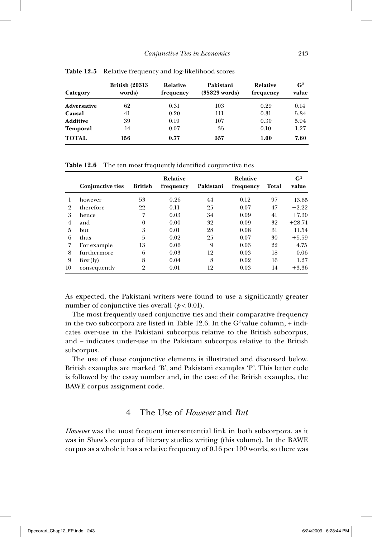| Category           | <b>British (20313)</b><br>words) | Relative<br>frequency | Pakistani<br>$(35829$ words) | Relative<br>frequency | $\mathbf{G}^2$<br>value |
|--------------------|----------------------------------|-----------------------|------------------------------|-----------------------|-------------------------|
| <b>Adversative</b> | 62                               | 0.31                  | 103                          | 0.29                  | 0.14                    |
| Causal             | 41                               | 0.20                  | 111                          | 0.31                  | 5.84                    |
| <b>Additive</b>    | 39                               | 0.19                  | 107                          | 0.30                  | 5.94                    |
| <b>Temporal</b>    | 14                               | 0.07                  | 35                           | 0.10                  | 1.27                    |
| <b>TOTAL</b>       | 156                              | 0.77                  | 357                          | 1.00                  | 7.60                    |

**Table 12.5** Relative frequency and log-likelihood scores

**Table 12.6** The ten most frequently identified conjunctive ties

|                |                         |                | Relative  |           | <b>Relative</b> |       | G <sup>2</sup> |
|----------------|-------------------------|----------------|-----------|-----------|-----------------|-------|----------------|
|                | <b>Conjunctive ties</b> | <b>British</b> | frequency | Pakistani | frequency       | Total | value          |
|                | however                 | 53             | 0.26      | 44        | 0.12            | 97    | $-13.65$       |
| $\overline{2}$ | therefore               | 22             | 0.11      | 25        | 0.07            | 47    | $-2.22$        |
| 3              | hence                   | 7              | 0.03      | 34        | 0.09            | 41    | $+7.30$        |
| $\overline{4}$ | and                     | $\theta$       | 0.00      | 32        | 0.09            | 32    | $+28.74$       |
| 5              | <b>but</b>              | 3              | 0.01      | 28        | 0.08            | 31    | $+11.54$       |
| 6              | thus                    | 5              | 0.02      | 25        | 0.07            | 30    | $+5.59$        |
| 7              | For example             | 13             | 0.06      | 9         | 0.03            | 22    | $-4.75$        |
| 8              | furthermore             | 6              | 0.03      | 12        | 0.03            | 18    | 0.06           |
| 9              | first(ly)               | 8              | 0.04      | 8         | 0.02            | 16    | $-1.27$        |
| 10             | consequently            | $\overline{2}$ | 0.01      | 12        | 0.03            | 14    | $+3.36$        |

As expected, the Pakistani writers were found to use a significantly greater number of conjunctive ties overall  $(p < 0.01)$ .

The most frequently used conjunctive ties and their comparative frequency in the two subcorpora are listed in Table 12.6. In the  $G^2$  value column, + indicates over- use in the Pakistani subcorpus relative to the British subcorpus, and – indicates under-use in the Pakistani subcorpus relative to the British subcorpus.

The use of these conjunctive elements is illustrated and discussed below. British examples are marked 'B', and Pakistani examples 'P'. This letter code is followed by the essay number and, in the case of the British examples, the BAWE corpus assignment code.

# 4 The Use of *However* and *But*

*However* was the most frequent intersentential link in both subcorpora, as it was in Shaw's corpora of literary studies writing (this volume). In the BAWE corpus as a whole it has a relative frequency of 0.16 per 100 words, so there was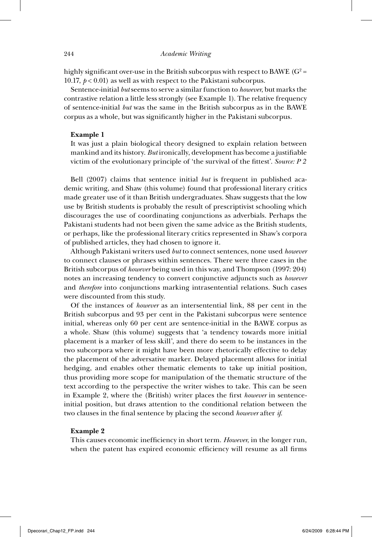highly significant over-use in the British subcorpus with respect to BAWE ( $G^2$  = 10.17,  $p < 0.01$ ) as well as with respect to the Pakistani subcorpus.

Sentence- initial *but* seems to serve a similar function to *however*, but marks the contrastive relation a little less strongly (see Example 1). The relative frequency of sentence- initial *but* was the same in the British subcorpus as in the BAWE corpus as a whole, but was significantly higher in the Pakistani subcorpus.

#### **Example 1**

It was just a plain biological theory designed to explain relation between mankind and its history. But ironically, development has become a justifiable victim of the evolutionary principle of 'the survival of the fittest'. *Source: P 2* 

Bell (2007) claims that sentence initial *but* is frequent in published academic writing, and Shaw (this volume) found that professional literary critics made greater use of it than British undergraduates. Shaw suggests that the low use by British students is probably the result of prescriptivist schooling which discourages the use of coordinating conjunctions as adverbials. Perhaps the Pakistani students had not been given the same advice as the British students, or perhaps, like the professional literary critics represented in Shaw's corpora of published articles, they had chosen to ignore it.

Although Pakistani writers used *but* to connect sentences, none used *however* to connect clauses or phrases within sentences. There were three cases in the British subcorpus of *however* being used in this way, and Thompson (1997: 204) notes an increasing tendency to convert conjunctive adjuncts such as *however* and *therefore* into conjunctions marking intrasentential relations. Such cases were discounted from this study.

Of the instances of *however* as an intersentential link, 88 per cent in the British subcorpus and 93 per cent in the Pakistani subcorpus were sentence initial, whereas only 60 per cent are sentence-initial in the BAWE corpus as a whole. Shaw (this volume) suggests that 'a tendency towards more initial placement is a marker of less skill', and there do seem to be instances in the two subcorpora where it might have been more rhetorically effective to delay the placement of the adversative marker. Delayed placement allows for initial hedging, and enables other thematic elements to take up initial position, thus providing more scope for manipulation of the thematic structure of the text according to the perspective the writer wishes to take. This can be seen in Example 2, where the (British) writer places the first *however* in sentenceinitial position, but draws attention to the conditional relation between the two clauses in the final sentence by placing the second *however* after *if*.

#### **Example 2**

This causes economic inefficiency in short term. *However*, in the longer run, when the patent has expired economic efficiency will resume as all firms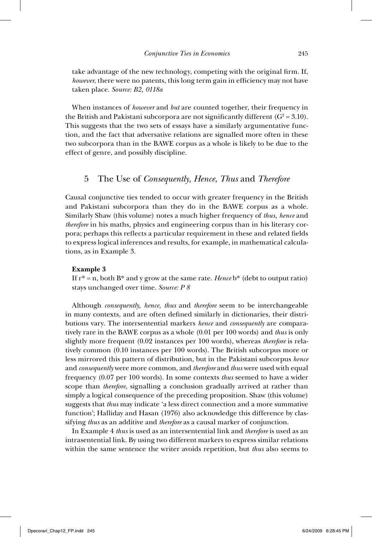take advantage of the new technology, competing with the original firm. If, *however*, there were no patents, this long term gain in efficiency may not have taken place. *Source: B2, 0118a*

When instances of *however* and *but* are counted together, their frequency in the British and Pakistani subcorpora are not significantly different  $(G^2 = 3.10)$ . This suggests that the two sets of essays have a similarly argumentative function, and the fact that adversative relations are signalled more often in these two subcorpora than in the BAWE corpus as a whole is likely to be due to the effect of genre, and possibly discipline.

## 5 The Use of *Consequently*, *Hence*, *Thus* and *Therefore*

Causal conjunctive ties tended to occur with greater frequency in the British and Pakistani subcorpora than they do in the BAWE corpus as a whole. Similarly Shaw (this volume) notes a much higher frequency of *thus, hence* and *therefore* in his maths, physics and engineering corpus than in his literary corpora; perhaps this reflects a particular requirement in these and related fields to express logical inferences and results, for example, in mathematical calculations, as in Example 3.

### **Example 3**

If r\* = n, both B\* and y grow at the same rate. *Hence* b\* (debt to output ratio) stays unchanged over time. *Source: P 8*

Although *consequently, hence, thus* and *therefore* seem to be interchangeable in many contexts, and are often defined similarly in dictionaries, their distributions vary. The intersentential markers *hence* and *consequently* are comparatively rare in the BAWE corpus as a whole (0.01 per 100 words) and *thus* is only slightly more frequent (0.02 instances per 100 words), whereas *therefore* is relatively common (0.10 instances per 100 words). The British subcorpus more or less mirrored this pattern of distribution, but in the Pakistani subcorpus *hence*  and *consequently* were more common, and *therefore* and *thus* were used with equal frequency (0.07 per 100 words). In some contexts *thus* seemed to have a wider scope than *therefore*, signalling a conclusion gradually arrived at rather than simply a logical consequence of the preceding proposition. Shaw (this volume) suggests that *thus* may indicate 'a less direct connection and a more summative function'; Halliday and Hasan (1976) also acknowledge this difference by classifying *thus* as an additive and *therefore* as a causal marker of conjunction.

In Example 4 *thus* is used as an intersentential link and *therefore* is used as an intrasentential link. By using two different markers to express similar relations within the same sentence the writer avoids repetition, but *thus* also seems to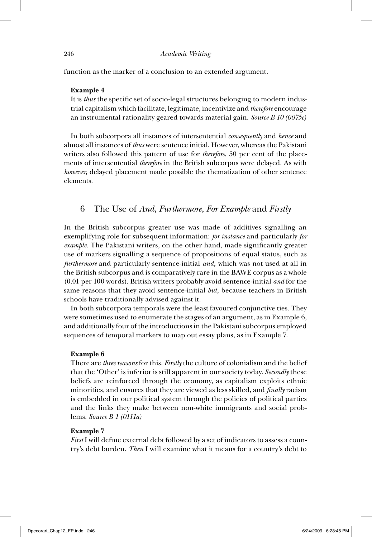function as the marker of a conclusion to an extended argument*.*

#### **Example 4**

It is *thus* the specific set of socio-legal structures belonging to modern industrial capitalism which facilitate, legitimate, incentivize and *therefore* encourage an instrumental rationality geared towards material gain. *Source B 10 (0075e)*

In both subcorpora all instances of intersentential *consequently* and *hence* and almost all instances of *thus* were sentence initial. However, whereas the Pakistani writers also followed this pattern of use for *therefore*, 50 per cent of the placements of intersentential *therefore* in the British subcorpus were delayed. As with *however*, delayed placement made possible the thematization of other sentence elements.

### 6 The Use of *And*, *Furthermore*, *For Example* and *Firstly*

In the British subcorpus greater use was made of additives signalling an exemplifying role for subsequent information: *for instance* and particularly *for example*. The Pakistani writers, on the other hand, made significantly greater use of markers signalling a sequence of propositions of equal status, such as *furthermore* and particularly sentence-initial *and*, which was not used at all in the British subcorpus and is comparatively rare in the BAWE corpus as a whole (0.01 per 100 words). British writers probably avoid sentence- initial *and* for the same reasons that they avoid sentence- initial *but*, because teachers in British schools have traditionally advised against it.

In both subcorpora temporals were the least favoured conjunctive ties. They were sometimes used to enumerate the stages of an argument, as in Example 6, and additionally four of the introductions in the Pakistani subcorpus employed sequences of temporal markers to map out essay plans, as in Example 7.

#### **Example 6**

There are *three reasons* for this. *Firstly* the culture of colonialism and the belief that the 'Other' is inferior is still apparent in our society today. *Secondly* these beliefs are reinforced through the economy, as capitalism exploits ethnic minorities, and ensures that they are viewed as less skilled, and *finally* racism is embedded in our political system through the policies of political parties and the links they make between non-white immigrants and social problems. *Source B 1 (0111a)*

#### **Example 7**

*First* I will define external debt followed by a set of indicators to assess a country's debt burden. *Then* I will examine what it means for a country's debt to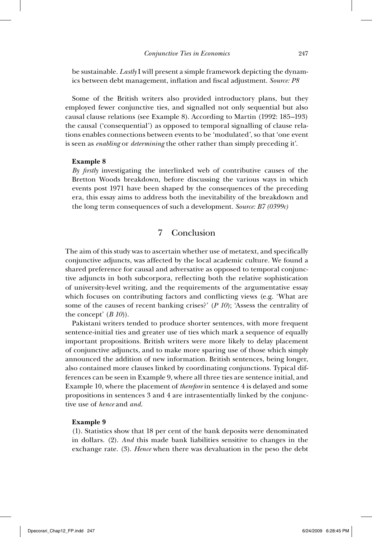be sustainable. *Lastly* I will present a simple framework depicting the dynamics between debt management, inflation and fiscal adjustment. *Source: P8* 

Some of the British writers also provided introductory plans, but they employed fewer conjunctive ties, and signalled not only sequential but also causal clause relations (see Example 8). According to Martin (1992: 185–193) the causal ('consequential') as opposed to temporal signalling of clause relations enables connections between events to be 'modulated', so that 'one event is seen as *enabling* or *determining* the other rather than simply preceding it'.

#### **Example 8**

*By fi rstly* investigating the interlinked web of contributive causes of the Bretton Woods breakdown, before discussing the various ways in which events post 1971 have been shaped by the consequences of the preceding era, this essay aims to address both the inevitability of the breakdown and the long term consequences of such a development. *Source: B7 (0399c)*

# 7 Conclusion

The aim of this study was to ascertain whether use of metatext, and specifically conjunctive adjuncts, was affected by the local academic culture. We found a shared preference for causal and adversative as opposed to temporal conjunctive adjuncts in both subcorpora, reflecting both the relative sophistication of university- level writing, and the requirements of the argumentative essay which focuses on contributing factors and conflicting views (e.g. 'What are some of the causes of recent banking crises?' (*P 10*); 'Assess the centrality of the concept' (*B 10*)).

Pakistani writers tended to produce shorter sentences, with more frequent sentence- initial ties and greater use of ties which mark a sequence of equally important propositions. British writers were more likely to delay placement of conjunctive adjuncts, and to make more sparing use of those which simply announced the addition of new information. British sentences, being longer, also contained more clauses linked by coordinating conjunctions. Typical differences can be seen in Example 9, where all three ties are sentence initial, and Example 10, where the placement of *therefore* in sentence 4 is delayed and some propositions in sentences 3 and 4 are intrasententially linked by the conjunctive use of *hence* and *and*.

#### **Example 9**

(1). Statistics show that 18 per cent of the bank deposits were denominated in dollars. (2). *And* this made bank liabilities sensitive to changes in the exchange rate. (3). *Hence* when there was devaluation in the peso the debt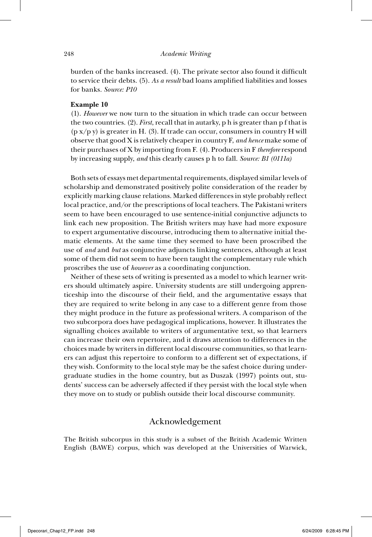burden of the banks increased. (4). The private sector also found it difficult to service their debts. (5). As a result bad loans amplified liabilities and losses for banks. *Source: P10*

### **Example 10**

(1). *However* we now turn to the situation in which trade can occur between the two countries. (2). *First*, recall that in autarky, p h is greater than p f that is  $(p x/p y)$  is greater in H. (3). If trade can occur, consumers in country H will observe that good X is relatively cheaper in country F, *and hence* make some of their purchases of X by importing from F. (4). Producers in F *therefore* respond by increasing supply, *and* this clearly causes p h to fall. *Source: B1 (0111a)*

Both sets of essays met departmental requirements, displayed similar levels of scholarship and demonstrated positively polite consideration of the reader by explicitly marking clause relations. Marked differences in style probably reflect local practice, and/or the prescriptions of local teachers. The Pakistani writers seem to have been encouraged to use sentence- initial conjunctive adjuncts to link each new proposition. The British writers may have had more exposure to expert argumentative discourse, introducing them to alternative initial thematic elements. At the same time they seemed to have been proscribed the use of *and* and *but* as conjunctive adjuncts linking sentences, although at least some of them did not seem to have been taught the complementary rule which proscribes the use of *however* as a coordinating conjunction.

Neither of these sets of writing is presented as a model to which learner writers should ultimately aspire. University students are still undergoing apprenticeship into the discourse of their field, and the argumentative essays that they are required to write belong in any case to a different genre from those they might produce in the future as professional writers. A comparison of the two subcorpora does have pedagogical implications, however. It illustrates the signalling choices available to writers of argumentative text, so that learners can increase their own repertoire, and it draws attention to differences in the choices made by writers in different local discourse communities, so that learners can adjust this repertoire to conform to a different set of expectations, if they wish. Conformity to the local style may be the safest choice during undergraduate studies in the home country, but as Duszak (1997) points out, students' success can be adversely affected if they persist with the local style when they move on to study or publish outside their local discourse community.

# Acknowledgement

The British subcorpus in this study is a subset of the British Academic Written English (BAWE) corpus, which was developed at the Universities of Warwick,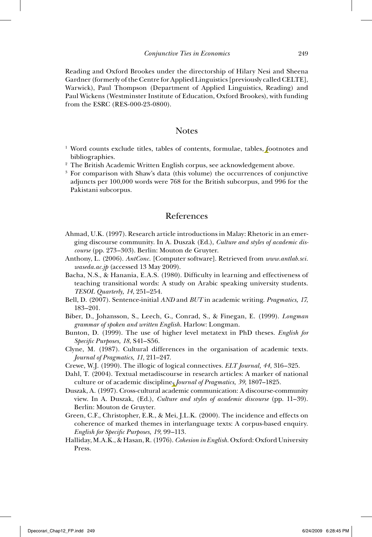Reading and Oxford Brookes under the directorship of Hilary Nesi and Sheena Gardner (formerly of the Centre for Applied Linguistics [previously called CELTE], Warwick), Paul Thompson (Department of Applied Linguistics, Reading) and Paul Wickens (Westminster Institute of Education, Oxford Brookes), with funding from the ESRC (RES-000-23-0800).

# Notes

- <sup>1</sup> Word counts exclude titles, tables of contents, formulae, tables, footnotes and bibliographies.
- <sup>2</sup> The British Academic Written English corpus, see acknowledgement above.
- 3 For comparison with Shaw's data (this volume) the occurrences of conjunctive adjuncts per 100,000 words were 768 for the British subcorpus, and 996 for the Pakistani subcorpus.

# References

- Ahmad, U.K. (1997). Research article introductions in Malay: Rhetoric in an emerging discourse community. In A. Duszak (Ed.), *Culture and styles of academic discourse* (pp. 273–303). Berlin: Mouton de Gruyter.
- Anthony, L. (2006). *AntConc*. [Computer software]. Retrieved from *www.antlab.sci. waseda.ac.jp* (accessed 13 May 2009).
- Bacha, N.S., & Hanania, E.A.S. (1980). Difficulty in learning and effectiveness of teaching transitional words: A study on Arabic speaking university students. *TESOL Quarterly, 14*, 251–254.
- Bell, D. (2007). Sentence- initial *AND* and *BUT* in academic writing. *Pragmatics, 17*, 183–201.
- Biber, D., Johansson, S., Leech, G., Conrad, S., & Finegan, E. (1999). *Longman grammar of spoken and written English*. Harlow: Longman.
- Bunton, D. (1999). The use of higher level metatext in PhD theses. *English for Specifi c Purposes, 18*, S41–S56.
- Clyne, M. (1987). Cultural differences in the organisation of academic texts. *Journal of Pragmatics, 11*, 211–247.
- Crewe, W.J. (1990). The illogic of logical connectives. *ELT Journal, 44*, 316–325.
- Dahl, T. (2004). Textual metadiscourse in research articles: A marker of national culture or of academic discipline. *Journal of Pragmatics, 39*, 1807–1825.
- Duszak, A. (1997). Cross- cultural academic communication: A discourse- community view. In A. Duszak, (Ed.), *Culture and styles of academic discourse* (pp. 11–39). Berlin: Mouton de Gruyter.
- Green, C.F., Christopher, E.R., & Mei, J.L.K. (2000). The incidence and effects on coherence of marked themes in interlanguage texts: A corpus-based enquiry. *English for Specific Purposes, 19, 99-113.*
- Halliday, M.A.K., & Hasan, R. (1976). *Cohesion in English*. Oxford: Oxford University Press.